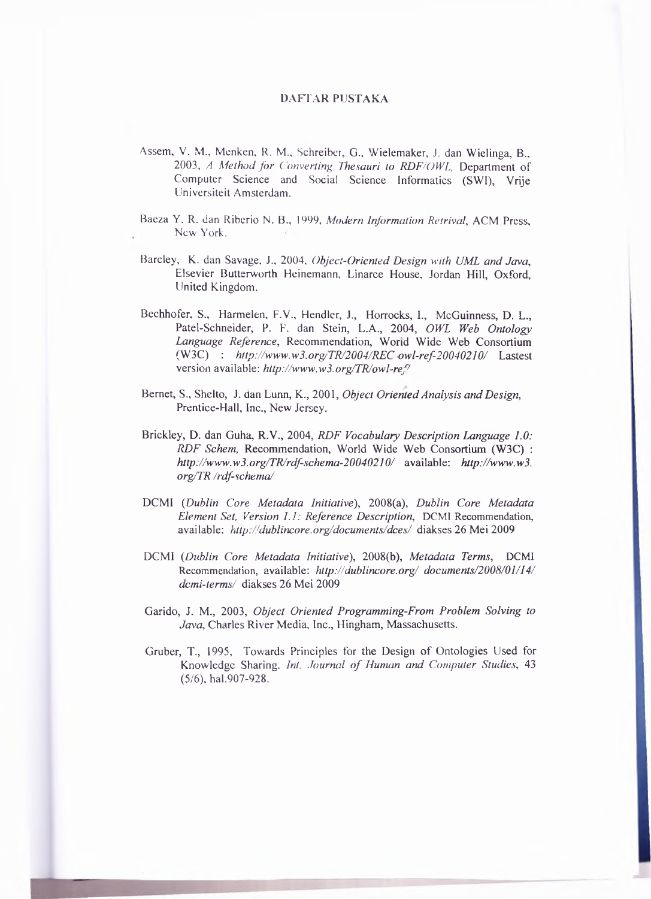## **DAFTAR PUSTAKA**

- Assem, V. M., Menken, R. M., Schreiber, G., Wielemaker, J. dan Wielinga, B., 2003, A Method for Converting Thesauri to RDF/OWL, Department of Computer Science and Social Science Informatics (SWI), Vrije Universiteit Amsterdam.
- Baeza Y. R. dan Riberio N. B., 1999, Modern Information Retrival, ACM Press, New York.
- Barcley, K. dan Savage, J., 2004, Object-Oriented Design with UML and Java, Elsevier Butterworth Heinemann, Linarce House, Jordan Hill, Oxford, United Kingdom.
- Bechhofer, S., Harmelen, F.V., Hendler, J., Horrocks, I., McGuinness, D. L., Patel-Schneider, P. F. dan Stein, L.A., 2004, OWL Web Ontology Language Reference, Recommendation, World Wide Web Consortium (W3C) : http://www.w3.org/TR/2004/REC owl-ref-20040210/ Lastest version available: http://www.w3.org/TR/owl-ref/
- Bernet, S., Shelto, J. dan Lunn, K., 2001, Object Oriented Analysis and Design, Prentice-Hall, Inc., New Jersey.
- Brickley, D. dan Guha, R.V., 2004, RDF Vocabulary Description Language 1.0: RDF Schem, Recommendation, World Wide Web Consortium (W3C): http://www.w3.org/TR/rdf-schema-20040210/ available: http://www.w3. org/TR /rdf-schema/
- DCMI (Dublin Core Metadata Initiative), 2008(a), Dublin Core Metadata Element Set, Version 1.1: Reference Description, DCMI Recommendation, available: http://dublincore.org/documents/dces/ diakses 26 Mei 2009
- DCMI (Dublin Core Metadata Initiative), 2008(b), Metadata Terms, DCMI Recommendation, available: http://dublincore.org/ documents/2008/01/14/ dcmi-terms/ diakses 26 Mei 2009
- Garido, J. M., 2003, Object Oriented Programming-From Problem Solving to Java, Charles River Media, Inc., Hingham, Massachusetts.
- Gruber, T., 1995, Towards Principles for the Design of Ontologies Used for Knowledge Sharing, Int. Journal of Human and Computer Studies, 43  $(5/6)$ , hal.907-928.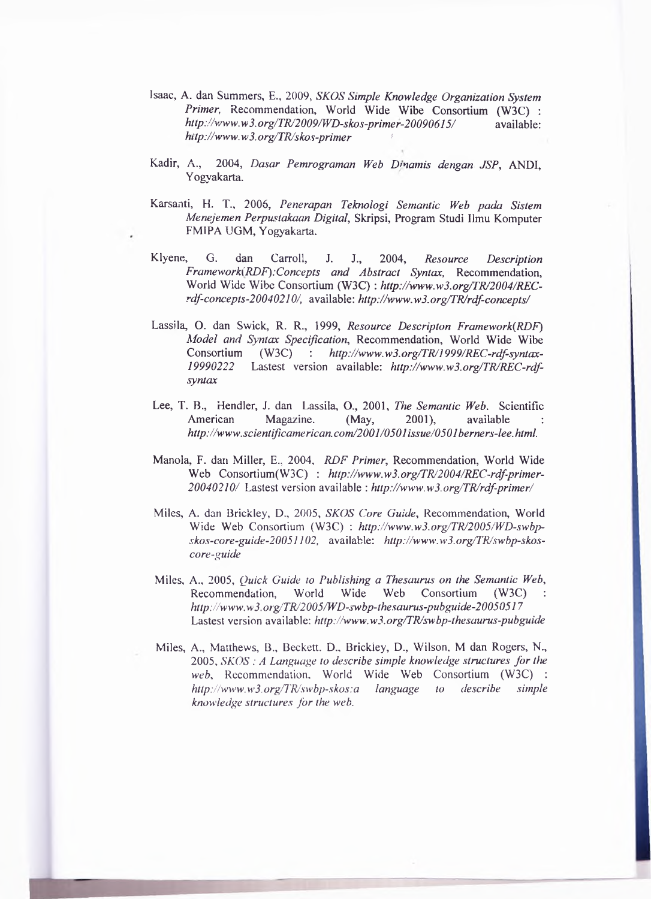- Isaac, A. dan Summ ers, E., 2009, *SKOS Simple Knowledge Organization System Primer,* Recommendation, World Wide Wibe Consortium (W3C) : *<http://vsww.w3.org/TR/2009/WD-skos-primer-20090615/>* available: *hitp://[www.w3.org/TR/skos-primer](http://www.w3.org/TR/skos-primer) 1*
- Kadir, A., 2004, *Dasar Pemrograman Web Dmamis dengan JSP,* ANDI, Yogyakarta.
- K arsanti, H. T., 2006, *Penerapan Teknologi Semantic Web pada Sistem Menejemen Perpustakaan Digital*, Skripsi, Program Studi Ilmu Komputer FMIPA UGM, Yogyakarta.
- K lyene, G. dan Carroll, J. J., 2004, *Resource Description Framework*(*RDF*):Concepts and *Abstract Syntax*, Recommendation, World Wide Wibe Consortium (W3C): http://www.w3.org/TR/2004/REC*rdf-concepts-20040210/,* available: *<http://www.w3.org/TRJrdf-concepts/>*
- Lassila, O. dan Swick, R. R., 1999, *Resource Descripton Framework(RDF)* Model and Syntax Specification, Recommendation, World Wide Wibe Consortium (W3C) : *http://www.w3.org/TR/1999/REC-rdf-syntax-19990222* Lastest version available: *[http://www.w3.org/TRJREC-rdf](http://www.w3.org/TRJREC-rdf-)syntax*
- Lee, T. B., Hendler, J. dan Lassila, O., 2001, *The Semantic Web.* Scientific American Magazine. (May, 2001), available *[http://www.scientificamerican.com/2001/0501issue/0501berners-lee.html.](http://www.scientificamerican.com/2001/0501issue/0501berners-lee.html)*
- Manola, F. dan Miller, E., 2004, *RDF Primer*, Recommendation, World Wide Web Consortium(W3C) : http://www.w3.org/TR/2004/REC-rdf-primer-*20040210/* Lastest version available : *<http://www.w3.org/TRJrdf-primer/>*
- Miles, A. dan Brickley, D., 2005, *SKOS Core Guide*, Recommendation, World Wide Web Consortium (W3C): [http://www.w3.org/TR/2005/WD-swbp](http://www.w3.org/TR/2005/WD-swbp-)*skos-core-guide-20051102,* available: *[http://www.w3.org/TR/swbp-skos](http://www.w3.org/TR/swbp-skos-)core-guide*
- M iles, A., 2005, *Quick Guide to Publishing a Thesaurus on the Semantic Web,* Recommendation, World Wide Web Consortium (W3C) *<http://www.w3>. org/TR/2005/WD-swbp-thesaurus-pubguide-2005051*7 Lastest version available: *http://www.w3.org/TR/swbp-thesaurus-pubguide*
- Miles, A., Matthews, B., Beckett. D., Brickley, D., Wilson, M dan Rogers, N., 2005, *SKOS : A Language to describe simple knowledge structures fo r the* web, Recommendation, World Wide Web Consortium (W3C) : *<http://www.w3.Org/TR/swbp-skos:a>language to describe simple knowledge structures for the web.*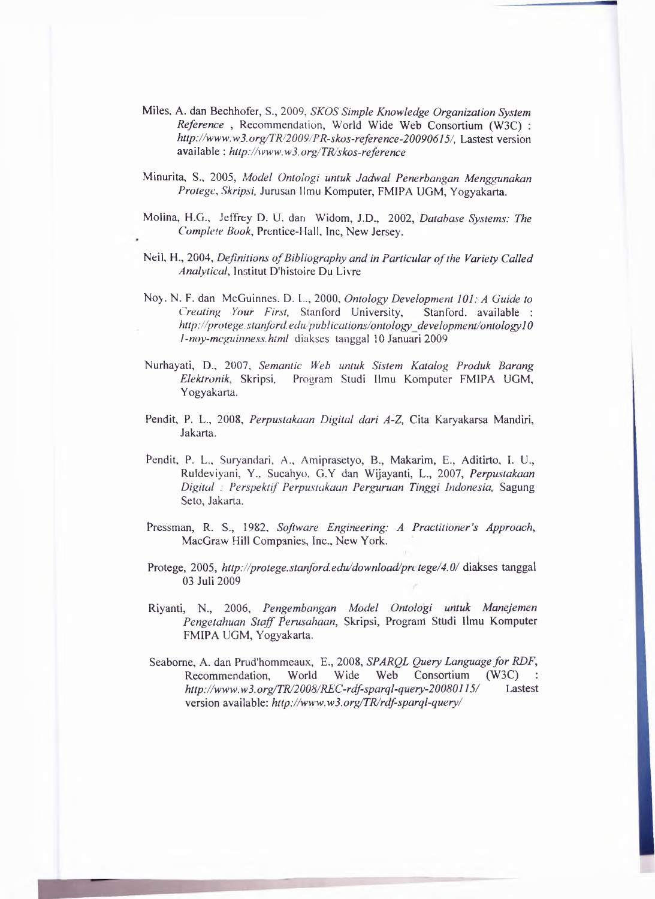- Miles, A. dan Bechhofer, S., 2009, *SKOS Simple Knowledge Organization System Reference*, Recommendation, World Wide Web Consortium (W3C) : *<http://www.w3.org/TR/2009/PR-skos-reference-20090615/>,* Lastest version available : *<http://www.w3.org/TR/skos-reference>*
- M inurita, S., 2005, *Model Ontologi untuk Jadwal Penerbangan Menggunakan Protege*, *Skripsi*, Jurusan Ilmu Komputer, FMIPA UGM, Yogyakarta.
- Molina, H.G., Jeffrey D. U. dan Widom, J.D., 2002, *Database Systems: The Complete Book, Prentice-Hall, Inc, New Jersey.*
- Neil, H., 2004, *Definitions of Bibliography and in Particular of the Variety Called Analytical,* Institut D'histoire Du Livre
- Noy. N. F. dan McGuinnes. D. L., 2000, *Ontology Development 101: A Guide to Creating Your First,* Stanford University, Stanford, available : *<http://protege>, stanford.edu-publications/'ontology development/ontology 10 l-noy-mcguinness.html* diakses tanggal 10 Januari 2009
- N urhayati, D., 2007, *Semantic Web untuk Sistem Katalog Produk Barang* Elektronik, Skripsi, Program Studi Ilmu Komputer FMIPA UGM, Y ogyakarta.
- Pendit, P. L., 2008, *Perpustakaan Digital dari A-Z*, Cita Karyakarsa Mandiri, Jakarta.
- Pendit, P. L., Suryandari, A., Amiprasetyo, B., Makarim, E., Aditirto, I. U., Ruldeviyani, Y.. Sucahyo, G.Y dan W ijayanti, L., 2007, *Perpustakaan Digital : Perspektif Perpustakaan Perguruan Tinggi Indonesia,* Sagung Seto, Jakarta.
- Pressman, R. S., 1982, *Software Engineering: A Practitioner's Approach*, MacGraw Hill Companies, Inc., New York.
- Protege, 2005, *<http://protege.stanford.edu/download/prc> tege/4.0/* diakses tanggal 03 Juli 2009
- Riyanti, N., 2006, *Pengembangan Model Ontologi untuk Manejemen* Pengetahuan Staff Perusahaan, Skripsi, Program Studi Ilmu Komputer FMIPA UGM, Yogyakarta.
- Seaborne, A. dan Prud'hommeaux, E., 2008, *SPARQL Query Language for RDF*, Recommendation, World Wide Web Consortium (W3C) *[http://www.](http://www)* w3. *org/TR/2008/REC-rdf-sparql-query-20080115/* Lastest version available: http://www.w3.org/TR/rdf-sparql-query/